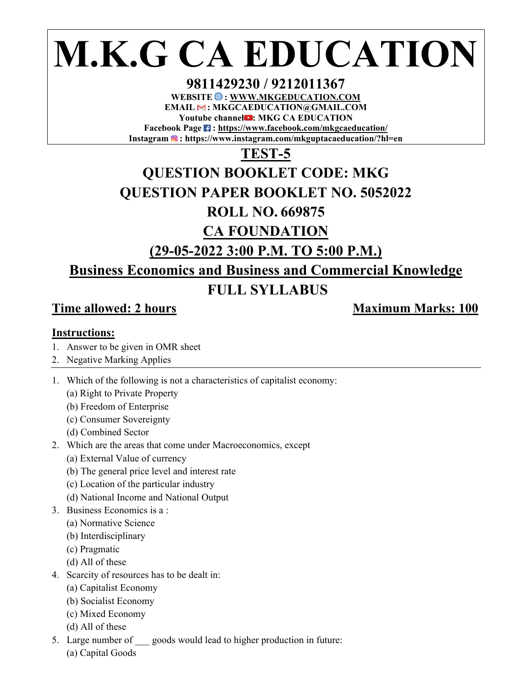# **M.K.G CA EDUCATION**

#### **9811429230 / 9212011367**

WEBSITE  $\bigcirc$  : WWW.MKGEDUCATION.COM **EMAIL : MKGCAEDUCATION@GMAIL.COM Youtube channel : MKG CA EDUCATION**  Facebook Page **:** https://www.facebook.com/mkgcaeducation/

**Instagram : https://www.instagram.com/mkguptacaeducation/?hl=en** 

#### **TEST-5**

## **QUESTION BOOKLET CODE: MKG**

#### **QUESTION PAPER BOOKLET NO. 5052022**

#### **ROLL NO. 669875**

#### **CA FOUNDATION**

#### **(29-05-2022 3:00 P.M. TO 5:00 P.M.)**

### **Business Economics and Business and Commercial Knowledge**

#### **FULL SYLLABUS**

#### **Time allowed: 2 hours Maximum Marks: 100**

#### **Instructions:**

- 1. Answer to be given in OMR sheet
- 2. Negative Marking Applies
- 1. Which of the following is not a characteristics of capitalist economy:
	- (a) Right to Private Property
	- (b) Freedom of Enterprise
	- (c) Consumer Sovereignty
	- (d) Combined Sector
- 2. Which are the areas that come under Macroeconomics, except
	- (a) External Value of currency
	- (b) The general price level and interest rate
	- (c) Location of the particular industry
	- (d) National Income and National Output
- 3. Business Economics is a :
	- (a) Normative Science
	- (b) Interdisciplinary
	- (c) Pragmatic
	- (d) All of these
- 4. Scarcity of resources has to be dealt in:
	- (a) Capitalist Economy
	- (b) Socialist Economy
	- (c) Mixed Economy
	- (d) All of these
- 5. Large number of goods would lead to higher production in future:
	- (a) Capital Goods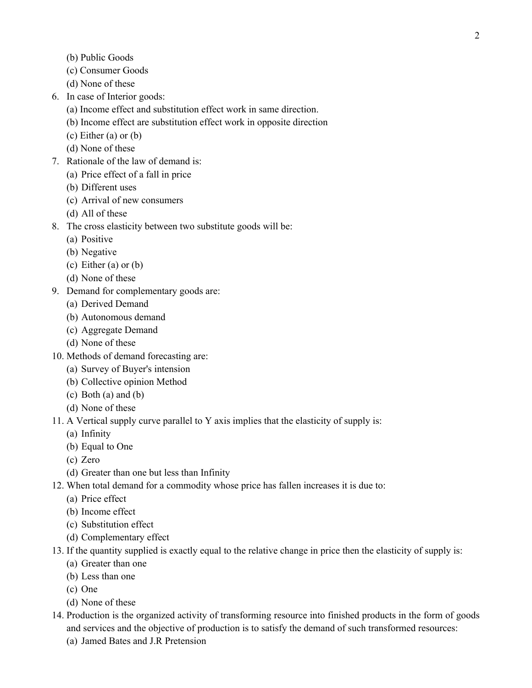- (b) Public Goods
- (c) Consumer Goods
- (d) None of these
- 6. In case of Interior goods:
	- (a) Income effect and substitution effect work in same direction.
	- (b) Income effect are substitution effect work in opposite direction
	- (c) Either (a) or (b)
	- (d) None of these
- 7. Rationale of the law of demand is:
	- (a) Price effect of a fall in price
	- (b) Different uses
	- (c) Arrival of new consumers
	- (d) All of these
- 8. The cross elasticity between two substitute goods will be:
	- (a) Positive
	- (b) Negative
	- (c) Either (a) or (b)
	- (d) None of these
- 9. Demand for complementary goods are:
	- (a) Derived Demand
	- (b) Autonomous demand
	- (c) Aggregate Demand
	- (d) None of these
- 10. Methods of demand forecasting are:
	- (a) Survey of Buyer's intension
	- (b) Collective opinion Method
	- (c) Both (a) and (b)
	- (d) None of these
- 11. A Vertical supply curve parallel to Y axis implies that the elasticity of supply is:
	- (a) Infinity
	- (b) Equal to One
	- (c) Zero
	- (d) Greater than one but less than Infinity
- 12. When total demand for a commodity whose price has fallen increases it is due to:
	- (a) Price effect
	- (b) Income effect
	- (c) Substitution effect
	- (d) Complementary effect
- 13. If the quantity supplied is exactly equal to the relative change in price then the elasticity of supply is:
	- (a) Greater than one
	- (b) Less than one
	- (c) One
	- (d) None of these
- 14. Production is the organized activity of transforming resource into finished products in the form of goods and services and the objective of production is to satisfy the demand of such transformed resources:
	- (a) Jamed Bates and J.R Pretension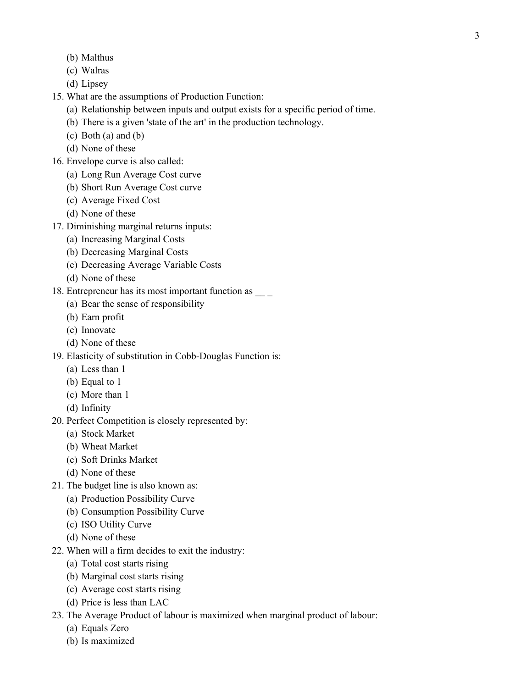- (b) Malthus
- (c) Walras
- (d) Lipsey
- 15. What are the assumptions of Production Function:
	- (a) Relationship between inputs and output exists for a specific period of time.
	- (b) There is a given 'state of the art' in the production technology.
	- (c) Both (a) and (b)
	- (d) None of these
- 16. Envelope curve is also called:
	- (a) Long Run Average Cost curve
	- (b) Short Run Average Cost curve
	- (c) Average Fixed Cost
	- (d) None of these
- 17. Diminishing marginal returns inputs:
	- (a) Increasing Marginal Costs
	- (b) Decreasing Marginal Costs
	- (c) Decreasing Average Variable Costs
	- (d) None of these
- 18. Entrepreneur has its most important function as  $\frac{1}{2}$ 
	- (a) Bear the sense of responsibility
	- (b) Earn profit
	- (c) Innovate
	- (d) None of these
- 19. Elasticity of substitution in Cobb-Douglas Function is:
	- (a) Less than 1
	- (b) Equal to 1
	- (c) More than 1
	- (d) Infinity
- 20. Perfect Competition is closely represented by:
	- (a) Stock Market
	- (b) Wheat Market
	- (c) Soft Drinks Market
	- (d) None of these
- 21. The budget line is also known as:
	- (a) Production Possibility Curve
	- (b) Consumption Possibility Curve
	- (c) ISO Utility Curve
	- (d) None of these
- 22. When will a firm decides to exit the industry:
	- (a) Total cost starts rising
	- (b) Marginal cost starts rising
	- (c) Average cost starts rising
	- (d) Price is less than LAC
- 23. The Average Product of labour is maximized when marginal product of labour:
	- (a) Equals Zero
	- (b) Is maximized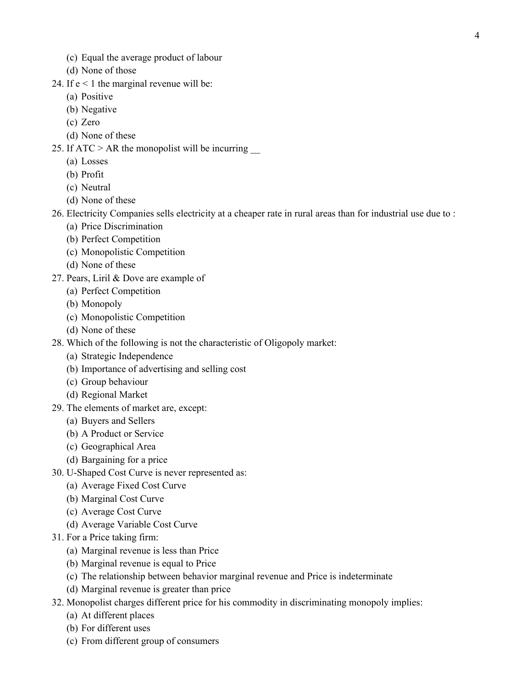- (c) Equal the average product of labour
- (d) None of those
- 24. If  $e < 1$  the marginal revenue will be:
	- (a) Positive
	- (b) Negative
	- (c) Zero
	- (d) None of these
- 25. If  $ATC > AR$  the monopolist will be incurring
	- (a) Losses
	- (b) Profit
	- (c) Neutral
	- (d) None of these
- 26. Electricity Companies sells electricity at a cheaper rate in rural areas than for industrial use due to :
	- (a) Price Discrimination
	- (b) Perfect Competition
	- (c) Monopolistic Competition
	- (d) None of these
- 27. Pears, Liril & Dove are example of
	- (a) Perfect Competition
	- (b) Monopoly
	- (c) Monopolistic Competition
	- (d) None of these
- 28. Which of the following is not the characteristic of Oligopoly market:
	- (a) Strategic Independence
	- (b) Importance of advertising and selling cost
	- (c) Group behaviour
	- (d) Regional Market
- 29. The elements of market are, except:
	- (a) Buyers and Sellers
	- (b) A Product or Service
	- (c) Geographical Area
	- (d) Bargaining for a price
- 30. U-Shaped Cost Curve is never represented as:
	- (a) Average Fixed Cost Curve
	- (b) Marginal Cost Curve
	- (c) Average Cost Curve
	- (d) Average Variable Cost Curve
- 31. For a Price taking firm:
	- (a) Marginal revenue is less than Price
	- (b) Marginal revenue is equal to Price
	- (c) The relationship between behavior marginal revenue and Price is indeterminate
	- (d) Marginal revenue is greater than price
- 32. Monopolist charges different price for his commodity in discriminating monopoly implies:
	- (a) At different places
	- (b) For different uses
	- (c) From different group of consumers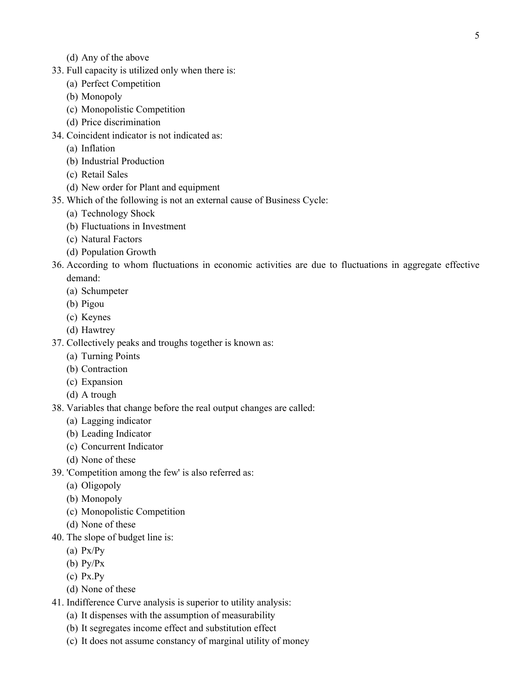- (d) Any of the above
- 33. Full capacity is utilized only when there is:
	- (a) Perfect Competition
	- (b) Monopoly
	- (c) Monopolistic Competition
	- (d) Price discrimination
- 34. Coincident indicator is not indicated as:
	- (a) Inflation
	- (b) Industrial Production
	- (c) Retail Sales
	- (d) New order for Plant and equipment
- 35. Which of the following is not an external cause of Business Cycle:
	- (a) Technology Shock
	- (b) Fluctuations in Investment
	- (c) Natural Factors
	- (d) Population Growth
- 36. According to whom fluctuations in economic activities are due to fluctuations in aggregate effective demand:
	- (a) Schumpeter
	- (b) Pigou
	- (c) Keynes
	- (d) Hawtrey
- 37. Collectively peaks and troughs together is known as:
	- (a) Turning Points
	- (b) Contraction
	- (c) Expansion
	- (d) A trough
- 38. Variables that change before the real output changes are called:
	- (a) Lagging indicator
	- (b) Leading Indicator
	- (c) Concurrent Indicator
	- (d) None of these
- 39. 'Competition among the few' is also referred as:
	- (a) Oligopoly
	- (b) Monopoly
	- (c) Monopolistic Competition
	- (d) None of these
- 40. The slope of budget line is:
	- (a) Px/Py
	- (b) Py/Px
	- (c) Px.Py
	- (d) None of these
- 41. Indifference Curve analysis is superior to utility analysis:
	- (a) It dispenses with the assumption of measurability
	- (b) It segregates income effect and substitution effect
	- (c) It does not assume constancy of marginal utility of money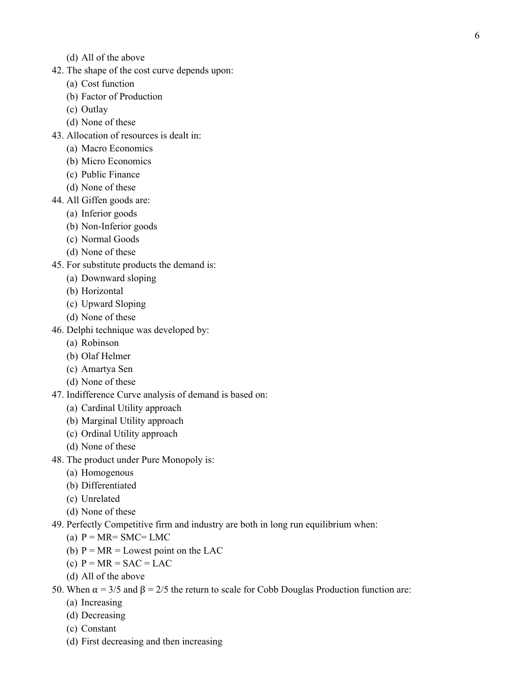- (d) All of the above
- 42. The shape of the cost curve depends upon:
	- (a) Cost function
	- (b) Factor of Production
	- (c) Outlay
	- (d) None of these
- 43. Allocation of resources is dealt in:
	- (a) Macro Economics
	- (b) Micro Economics
	- (c) Public Finance
	- (d) None of these
- 44. All Giffen goods are:
	- (a) Inferior goods
	- (b) Non-Inferior goods
	- (c) Normal Goods
	- (d) None of these
- 45. For substitute products the demand is:
	- (a) Downward sloping
	- (b) Horizontal
	- (c) Upward Sloping
	- (d) None of these
- 46. Delphi technique was developed by:
	- (a) Robinson
	- (b) Olaf Helmer
	- (c) Amartya Sen
	- (d) None of these
- 47. Indifference Curve analysis of demand is based on:
	- (a) Cardinal Utility approach
	- (b) Marginal Utility approach
	- (c) Ordinal Utility approach
	- (d) None of these
- 48. The product under Pure Monopoly is:
	- (a) Homogenous
	- (b) Differentiated
	- (c) Unrelated
	- (d) None of these
- 49. Perfectly Competitive firm and industry are both in long run equilibrium when:
	- (a)  $P = MR = SMC = LMC$
	- (b)  $P = MR = L$ owest point on the LAC
	- (c)  $P = MR = SAC = LAC$
	- (d) All of the above
- 50. When  $\alpha = 3/5$  and  $\beta = 2/5$  the return to scale for Cobb Douglas Production function are:
	- (a) Increasing
	- (d) Decreasing
	- (c) Constant
	- (d) First decreasing and then increasing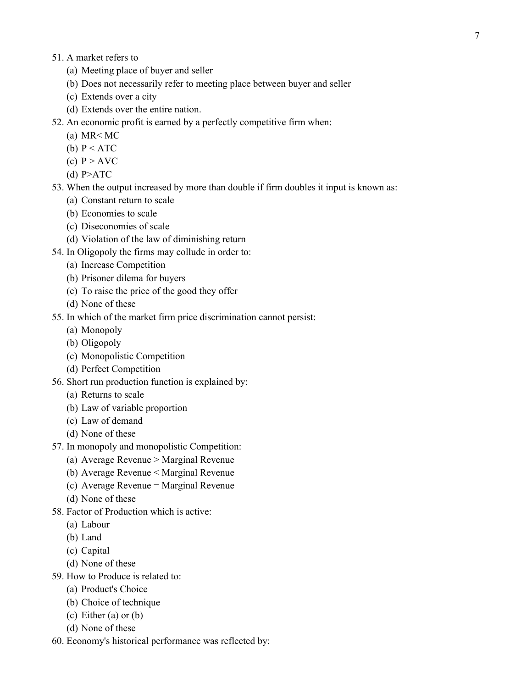- 51. A market refers to
	- (a) Meeting place of buyer and seller
	- (b) Does not necessarily refer to meeting place between buyer and seller
	- (c) Extends over a city
	- (d) Extends over the entire nation.
- 52. An economic profit is earned by a perfectly competitive firm when:
	- (a)  $MR < MC$
	- (b)  $P < ATC$
	- (c)  $P > AVC$
	- $(d)$  P>ATC
- 53. When the output increased by more than double if firm doubles it input is known as:
	- (a) Constant return to scale
	- (b) Economies to scale
	- (c) Diseconomies of scale
	- (d) Violation of the law of diminishing return
- 54. In Oligopoly the firms may collude in order to:
	- (a) Increase Competition
	- (b) Prisoner dilema for buyers
	- (c) To raise the price of the good they offer
	- (d) None of these
- 55. In which of the market firm price discrimination cannot persist:
	- (a) Monopoly
	- (b) Oligopoly
	- (c) Monopolistic Competition
	- (d) Perfect Competition
- 56. Short run production function is explained by:
	- (a) Returns to scale
	- (b) Law of variable proportion
	- (c) Law of demand
	- (d) None of these
- 57. In monopoly and monopolistic Competition:
	- (a) Average Revenue > Marginal Revenue
	- (b) Average Revenue < Marginal Revenue
	- (c) Average Revenue = Marginal Revenue
	- (d) None of these
- 58. Factor of Production which is active:
	- (a) Labour
	- (b) Land
	- (c) Capital
	- (d) None of these
- 59. How to Produce is related to:
	- (a) Product's Choice
	- (b) Choice of technique
	- (c) Either (a) or (b)
	- (d) None of these
- 60. Economy's historical performance was reflected by: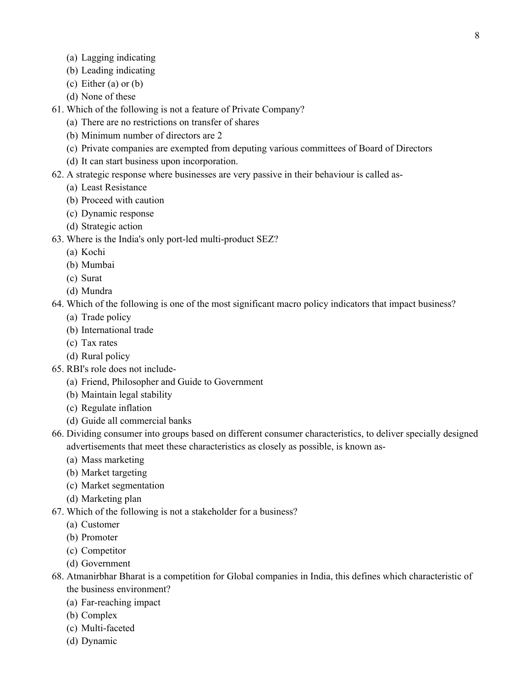- (a) Lagging indicating
- (b) Leading indicating
- (c) Either (a) or (b)
- (d) None of these
- 61. Which of the following is not a feature of Private Company?
	- (a) There are no restrictions on transfer of shares
	- (b) Minimum number of directors are 2
	- (c) Private companies are exempted from deputing various committees of Board of Directors
	- (d) It can start business upon incorporation.
- 62. A strategic response where businesses are very passive in their behaviour is called as-
	- (a) Least Resistance
	- (b) Proceed with caution
	- (c) Dynamic response
	- (d) Strategic action
- 63. Where is the India's only port-led multi-product SEZ?
	- (a) Kochi
	- (b) Mumbai
	- (c) Surat
	- (d) Mundra
- 64. Which of the following is one of the most significant macro policy indicators that impact business?
	- (a) Trade policy
	- (b) International trade
	- (c) Tax rates
	- (d) Rural policy
- 65. RBI's role does not include-
	- (a) Friend, Philosopher and Guide to Government
	- (b) Maintain legal stability
	- (c) Regulate inflation
	- (d) Guide all commercial banks
- 66. Dividing consumer into groups based on different consumer characteristics, to deliver specially designed advertisements that meet these characteristics as closely as possible, is known as-
	- (a) Mass marketing
	- (b) Market targeting
	- (c) Market segmentation
	- (d) Marketing plan
- 67. Which of the following is not a stakeholder for a business?
	- (a) Customer
	- (b) Promoter
	- (c) Competitor
	- (d) Government
- 68. Atmanirbhar Bharat is a competition for Global companies in India, this defines which characteristic of the business environment?
	- (a) Far-reaching impact
	- (b) Complex
	- (c) Multi-faceted
	- (d) Dynamic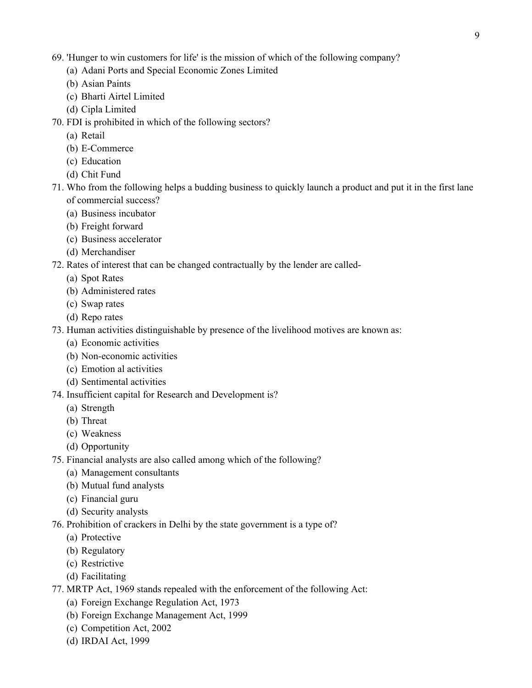- 69. 'Hunger to win customers for life' is the mission of which of the following company?
	- (a) Adani Ports and Special Economic Zones Limited
	- (b) Asian Paints
	- (c) Bharti Airtel Limited
	- (d) Cipla Limited
- 70. FDI is prohibited in which of the following sectors?
	- (a) Retail
	- (b) E-Commerce
	- (c) Education
	- (d) Chit Fund
- 71. Who from the following helps a budding business to quickly launch a product and put it in the first lane of commercial success?
	- (a) Business incubator
	- (b) Freight forward
	- (c) Business accelerator
	- (d) Merchandiser
- 72. Rates of interest that can be changed contractually by the lender are called-
	- (a) Spot Rates
	- (b) Administered rates
	- (c) Swap rates
	- (d) Repo rates
- 73. Human activities distinguishable by presence of the livelihood motives are known as:
	- (a) Economic activities
	- (b) Non-economic activities
	- (c) Emotion al activities
	- (d) Sentimental activities
- 74. Insufficient capital for Research and Development is?
	- (a) Strength
	- (b) Threat
	- (c) Weakness
	- (d) Opportunity
- 75. Financial analysts are also called among which of the following?
	- (a) Management consultants
	- (b) Mutual fund analysts
	- (c) Financial guru
	- (d) Security analysts
- 76. Prohibition of crackers in Delhi by the state government is a type of?
	- (a) Protective
	- (b) Regulatory
	- (c) Restrictive
	- (d) Facilitating
- 77. MRTP Act, 1969 stands repealed with the enforcement of the following Act:
	- (a) Foreign Exchange Regulation Act, 1973
	- (b) Foreign Exchange Management Act, 1999
	- (c) Competition Act, 2002
	- (d) IRDAI Act, 1999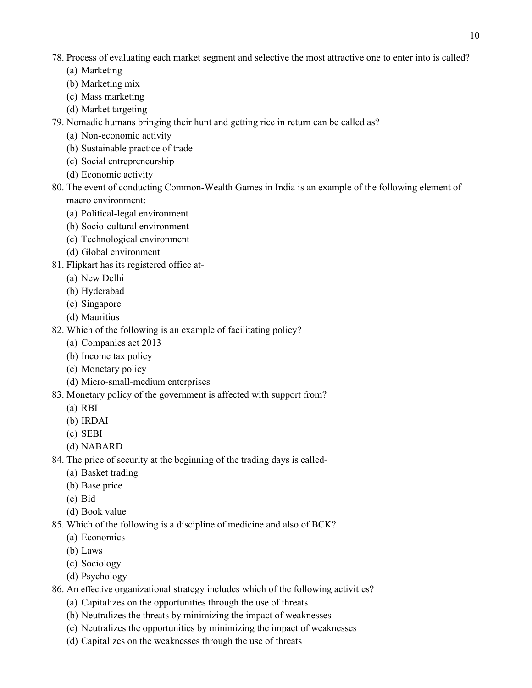- 78. Process of evaluating each market segment and selective the most attractive one to enter into is called?
	- (a) Marketing
	- (b) Marketing mix
	- (c) Mass marketing
	- (d) Market targeting
- 79. Nomadic humans bringing their hunt and getting rice in return can be called as?
	- (a) Non-economic activity
	- (b) Sustainable practice of trade
	- (c) Social entrepreneurship
	- (d) Economic activity
- 80. The event of conducting Common-Wealth Games in India is an example of the following element of macro environment:
	- (a) Political-legal environment
	- (b) Socio-cultural environment
	- (c) Technological environment
	- (d) Global environment
- 81. Flipkart has its registered office at-
	- (a) New Delhi
	- (b) Hyderabad
	- (c) Singapore
	- (d) Mauritius
- 82. Which of the following is an example of facilitating policy?
	- (a) Companies act 2013
	- (b) Income tax policy
	- (c) Monetary policy
	- (d) Micro-small-medium enterprises
- 83. Monetary policy of the government is affected with support from?
	- (a) RBI
	- (b) IRDAI
	- (c) SEBI
	- (d) NABARD
- 84. The price of security at the beginning of the trading days is called-
	- (a) Basket trading
	- (b) Base price
	- (c) Bid
	- (d) Book value
- 85. Which of the following is a discipline of medicine and also of BCK?
	- (a) Economics
	- (b) Laws
	- (c) Sociology
	- (d) Psychology
- 86. An effective organizational strategy includes which of the following activities?
	- (a) Capitalizes on the opportunities through the use of threats
	- (b) Neutralizes the threats by minimizing the impact of weaknesses
	- (c) Neutralizes the opportunities by minimizing the impact of weaknesses
	- (d) Capitalizes on the weaknesses through the use of threats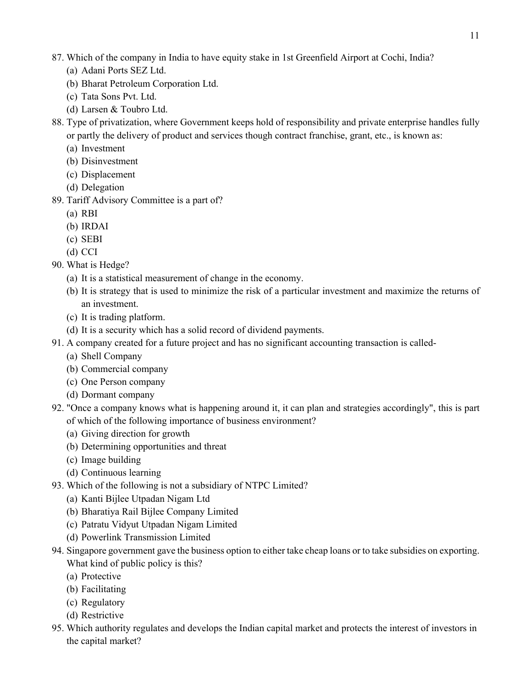- 87. Which of the company in India to have equity stake in 1st Greenfield Airport at Cochi, India?
	- (a) Adani Ports SEZ Ltd.
	- (b) Bharat Petroleum Corporation Ltd.
	- (c) Tata Sons Pvt. Ltd.
	- (d) Larsen & Toubro Ltd.
- 88. Type of privatization, where Government keeps hold of responsibility and private enterprise handles fully or partly the delivery of product and services though contract franchise, grant, etc., is known as:
	- (a) Investment
	- (b) Disinvestment
	- (c) Displacement
	- (d) Delegation
- 89. Tariff Advisory Committee is a part of?
	- (a) RBI
	- (b) IRDAI
	- (c) SEBI
	- (d) CCI
- 90. What is Hedge?
	- (a) It is a statistical measurement of change in the economy.
	- (b) It is strategy that is used to minimize the risk of a particular investment and maximize the returns of an investment.
	- (c) It is trading platform.
	- (d) It is a security which has a solid record of dividend payments.
- 91. A company created for a future project and has no significant accounting transaction is called-
	- (a) Shell Company
	- (b) Commercial company
	- (c) One Person company
	- (d) Dormant company
- 92. "Once a company knows what is happening around it, it can plan and strategies accordingly", this is part of which of the following importance of business environment?
	- (a) Giving direction for growth
	- (b) Determining opportunities and threat
	- (c) Image building
	- (d) Continuous learning
- 93. Which of the following is not a subsidiary of NTPC Limited?
	- (a) Kanti Bijlee Utpadan Nigam Ltd
	- (b) Bharatiya Rail Bijlee Company Limited
	- (c) Patratu Vidyut Utpadan Nigam Limited
	- (d) Powerlink Transmission Limited
- 94. Singapore government gave the business option to either take cheap loans or to take subsidies on exporting. What kind of public policy is this?
	- (a) Protective
	- (b) Facilitating
	- (c) Regulatory
	- (d) Restrictive
- 95. Which authority regulates and develops the Indian capital market and protects the interest of investors in the capital market?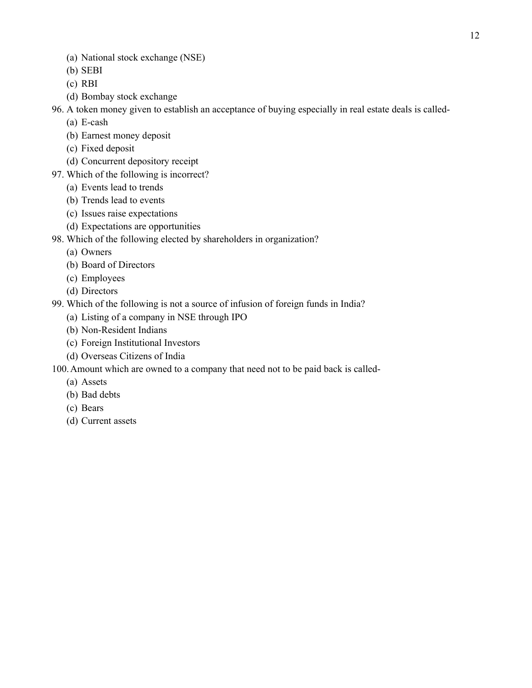- (a) National stock exchange (NSE)
- (b) SEBI
- (c) RBI
- (d) Bombay stock exchange
- 96. A token money given to establish an acceptance of buying especially in real estate deals is called-
	- (a) E-cash
	- (b) Earnest money deposit
	- (c) Fixed deposit
	- (d) Concurrent depository receipt
- 97. Which of the following is incorrect?
	- (a) Events lead to trends
	- (b) Trends lead to events
	- (c) Issues raise expectations
	- (d) Expectations are opportunities
- 98. Which of the following elected by shareholders in organization?
	- (a) Owners
	- (b) Board of Directors
	- (c) Employees
	- (d) Directors
- 99. Which of the following is not a source of infusion of foreign funds in India?
	- (a) Listing of a company in NSE through IPO
	- (b) Non-Resident Indians
	- (c) Foreign Institutional Investors
	- (d) Overseas Citizens of India
- 100.Amount which are owned to a company that need not to be paid back is called-
	- (a) Assets
	- (b) Bad debts
	- (c) Bears
	- (d) Current assets